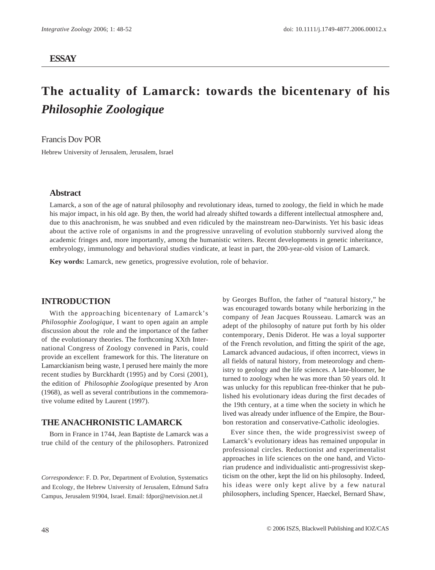# **The actuality of Lamarck: towards the bicentenary of his** *Philosophie Zoologique*

Francis Dov POR

Hebrew University of Jerusalem, Jerusalem, Israel

#### **Abstract**

Lamarck, a son of the age of natural philosophy and revolutionary ideas, turned to zoology, the field in which he made his major impact, in his old age. By then, the world had already shifted towards a different intellectual atmosphere and, due to this anachronism, he was snubbed and even ridiculed by the mainstream neo-Darwinists. Yet his basic ideas about the active role of organisms in and the progressive unraveling of evolution stubbornly survived along the academic fringes and, more importantly, among the humanistic writers. Recent developments in genetic inheritance, embryology, immunology and behavioral studies vindicate, at least in part, the 200-year-old vision of Lamarck.

**Key words:** Lamarck, new genetics, progressive evolution, role of behavior.

#### **INTRODUCTION**

With the approaching bicentenary of Lamarck's *Philosophie Zoologique*, I want to open again an ample discussion about the role and the importance of the father of the evolutionary theories. The forthcoming XXth International Congress of Zoology convened in Paris, could provide an excellent framework for this. The literature on Lamarckianism being waste, I perused here mainly the more recent studies by Burckhardt (1995) and by Corsi (2001), the edition of *Philosophie Zoologique* presented by Aron (1968), as well as several contributions in the commemorative volume edited by Laurent (1997).

#### **THE ANACHRONISTIC LAMARCK**

Born in France in 1744, Jean Baptiste de Lamarck was a true child of the century of the philosophers. Patronized

*Correspondence*: F. D. Por, Department of Evolution, Systematics and Ecology, the Hebrew University of Jerusalem, Edmund Safra Campus, Jerusalem 91904, Israel. Email: fdpor@netvision.net.il

by Georges Buffon, the father of "natural history," he was encouraged towards botany while herborizing in the company of Jean Jacques Rousseau. Lamarck was an adept of the philosophy of nature put forth by his older contemporary, Denis Diderot. He was a loyal supporter of the French revolution, and fitting the spirit of the age, Lamarck advanced audacious, if often incorrect, views in all fields of natural history, from meteorology and chemistry to geology and the life sciences. A late-bloomer, he turned to zoology when he was more than 50 years old. It was unlucky for this republican free-thinker that he published his evolutionary ideas during the first decades of the 19th century, at a time when the society in which he lived was already under influence of the Empire, the Bourbon restoration and conservative-Catholic ideologies.

Ever since then, the wide progressivist sweep of Lamarck's evolutionary ideas has remained unpopular in professional circles. Reductionist and experimentalist approaches in life sciences on the one hand, and Victorian prudence and individualistic anti-progressivist skepticism on the other, kept the lid on his philosophy. Indeed, his ideas were only kept alive by a few natural philosophers, including Spencer, Haeckel, Bernard Shaw,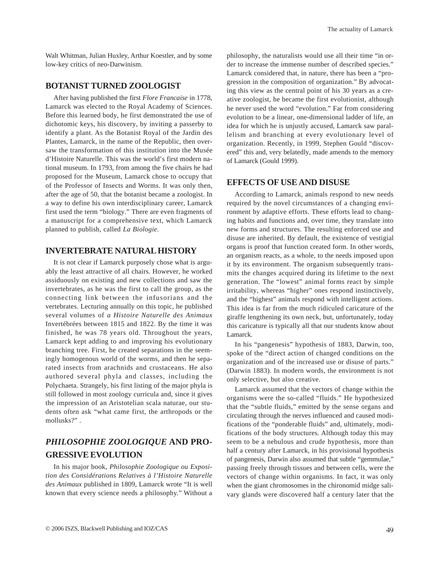Walt Whitman, Julian Huxley, Arthur Koestler, and by some low-key critics of neo-Darwinism.

#### **BOTANIST TURNED ZOOLOGIST**

After having published the first *Flore Francaise* in 1778, Lamarck was elected to the Royal Academy of Sciences. Before this learned body, he first demonstrated the use of dichotomic keys, his discovery, by inviting a passerby to identify a plant. As the Botanist Royal of the Jardin des Plantes, Lamarck, in the name of the Republic, then oversaw the transformation of this institution into the Musée d'Histoire Naturelle. This was the world's first modern national museum. In 1793, from among the five chairs he had proposed for the Museum, Lamarck chose to occupy that of the Professor of Insects and Worms. It was only then, after the age of 50, that the botanist became a zoologist. In a way to define his own interdisciplinary career, Lamarck first used the term "biology." There are even fragments of a manuscript for a comprehensive text, which Lamarck planned to publish, called *La Biologie.*

# **INVERTEBRATE NATURAL HISTORY**

It is not clear if Lamarck purposely chose what is arguably the least attractive of all chairs. However, he worked assiduously on existing and new collections and saw the invertebrates, as he was the first to call the group, as the connecting link between the infusorians and the vertebrates. Lecturing annually on this topic, he published several volumes of *a Histoire Naturelle des Animaux* Invertébrées between 1815 and 1822. By the time it was finished, he was 78 years old. Throughout the years, Lamarck kept adding to and improving his evolutionary branching tree. First, he created separations in the seemingly homogenous world of the worms, and then he separated insects from arachnids and crustaceans. He also authored several phyla and classes, including the Polychaeta. Strangely, his first listing of the major phyla is still followed in most zoology curricula and, since it gives the impression of an Aristotelian scala naturae, our students often ask "what came first, the arthropods or the mollusks?" .

# *PHILOSOPHIE ZOOLOGIQUE* **AND PRO-GRESSIVE EVOLUTION**

In his major book, *Philosophie Zoologique ou Exposition des Considérations Relatives à l'Histoire Naturelle des Animaux* published in 1809, Lamarck wrote "It is well known that every science needs a philosophy." Without a philosophy, the naturalists would use all their time "in order to increase the immense number of described species." Lamarck considered that, in nature, there has been a "progression in the composition of organization." By advocating this view as the central point of his 30 years as a creative zoologist, he became the first evolutionist, although he never used the word "evolution." Far from considering evolution to be a linear, one-dimensional ladder of life, an idea for which he is unjustly accused, Lamarck saw parallelism and branching at every evolutionary level of organization. Recently, in 1999, Stephen Gould "discovered" this and, very belatedly, made amends to the memory of Lamarck (Gould 1999).

# **EFFECTS OF USE AND DISUSE**

According to Lamarck, animals respond to new needs required by the novel circumstances of a changing environment by adaptive efforts. These efforts lead to changing habits and functions and, over time, they translate into new forms and structures. The resulting enforced use and disuse are inherited. By default, the existence of vestigial organs is proof that function created form. In other words, an organism reacts, as a whole, to the needs imposed upon it by its environment. The organism subsequently transmits the changes acquired during its lifetime to the next generation. The "lowest" animal forms react by simple irritability, whereas "higher" ones respond instinctively, and the "highest" animals respond with intelligent actions. This idea is far from the much ridiculed caricature of the giraffe lengthening its own neck, but, unfortunately, today this caricature is typically all that our students know about Lamarck.

In his "pangenesis" hypothesis of 1883, Darwin, too, spoke of the "direct action of changed conditions on the organization and of the increased use or disuse of parts." (Darwin 1883). In modern words, the environment is not only selective, but also creative.

Lamarck assumed that the vectors of change within the organisms were the so-called "fluids." He hypothesized that the "subtle fluids," emitted by the sense organs and circulating through the nerves influenced and caused modifications of the "ponderable fluids" and, ultimately, modifications of the body structures. Although today this may seem to be a nebulous and crude hypothesis, more than half a century after Lamarck, in his provisional hypothesis of pangenesis, Darwin also assumed that subtle "gemmulae," passing freely through tissues and between cells, were the vectors of change within organisms. In fact, it was only when the giant chromosomes in the chironomid midge salivary glands were discovered half a century later that the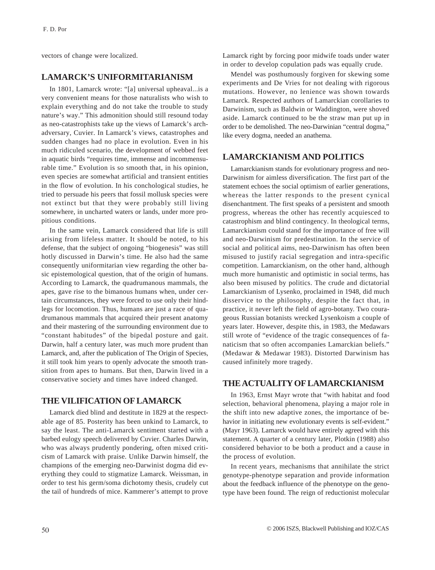vectors of change were localized.

# **LAMARCK'S UNIFORMITARIANISM**

In 1801, Lamarck wrote: "[a] universal upheaval...is a very convenient means for those naturalists who wish to explain everything and do not take the trouble to study nature's way." This admonition should still resound today as neo-catastrophists take up the views of Lamarck's archadversary, Cuvier. In Lamarck's views, catastrophes and sudden changes had no place in evolution. Even in his much ridiculed scenario, the development of webbed feet in aquatic birds "requires time, immense and incommensurable time." Evolution is so smooth that, in his opinion, even species are somewhat artificial and transient entities in the flow of evolution. In his conchological studies, he tried to persuade his peers that fossil mollusk species were not extinct but that they were probably still living somewhere, in uncharted waters or lands, under more propitious conditions.

In the same vein, Lamarck considered that life is still arising from lifeless matter. It should be noted, to his defense, that the subject of ongoing "biogenesis" was still hotly discussed in Darwin's time. He also had the same consequently uniformitarian view regarding the other basic epistemological question, that of the origin of humans. According to Lamarck, the quadrumanous mammals, the apes, gave rise to the bimanous humans when, under certain circumstances, they were forced to use only their hindlegs for locomotion. Thus, humans are just a race of quadrumanous mammals that acquired their present anatomy and their mastering of the surrounding environment due to "constant habitudes" of the bipedal posture and gait. Darwin, half a century later, was much more prudent than Lamarck, and, after the publication of The Origin of Species, it still took him years to openly advocate the smooth transition from apes to humans. But then, Darwin lived in a conservative society and times have indeed changed.

# **THE VILIFICATION OF LAMARCK**

Lamarck died blind and destitute in 1829 at the respectable age of 85. Posterity has been unkind to Lamarck, to say the least. The anti-Lamarck sentiment started with a barbed eulogy speech delivered by Cuvier. Charles Darwin, who was always prudently pondering, often mixed criticism of Lamarck with praise. Unlike Darwin himself, the champions of the emerging neo-Darwinist dogma did everything they could to stigmatize Lamarck. Weissman, in order to test his germ/soma dichotomy thesis, crudely cut the tail of hundreds of mice. Kammerer's attempt to prove Lamarck right by forcing poor midwife toads under water in order to develop copulation pads was equally crude.

Mendel was posthumously forgiven for skewing some experiments and De Vries for not dealing with rigorous mutations. However, no lenience was shown towards Lamarck. Respected authors of Lamarckian corollaries to Darwinism, such as Baldwin or Waddington, were shoved aside. Lamarck continued to be the straw man put up in order to be demolished. The neo-Darwinian "central dogma," like every dogma, needed an anathema.

# **LAMARCKIANISM AND POLITICS**

Lamarckianism stands for evolutionary progress and neo-Darwinism for aimless diversification. The first part of the statement echoes the social optimism of earlier generations, whereas the latter responds to the present cynical disenchantment. The first speaks of a persistent and smooth progress, whereas the other has recently acquiesced to catastrophism and blind contingency. In theological terms, Lamarckianism could stand for the importance of free will and neo-Darwinism for predestination. In the service of social and political aims, neo-Darwinism has often been misused to justify racial segregation and intra-specific competition. Lamarckianism, on the other hand, although much more humanistic and optimistic in social terms, has also been misused by politics. The crude and dictatorial Lamarckianism of Lysenko, proclaimed in 1948, did much disservice to the philosophy, despite the fact that, in practice, it never left the field of agro-botany. Two courageous Russian botanists wrecked Lysenkoism a couple of years later. However, despite this, in 1983, the Medawars still wrote of "evidence of the tragic consequences of fanaticism that so often accompanies Lamarckian beliefs." (Medawar & Medawar 1983). Distorted Darwinism has caused infinitely more tragedy.

# **THE ACTUALITY OF LAMARCKIANISM**

In 1963, Ernst Mayr wrote that "with habitat and food selection, behavioral phenomena, playing a major role in the shift into new adaptive zones, the importance of behavior in initiating new evolutionary events is self-evident." (Mayr 1963). Lamarck would have entirely agreed with this statement. A quarter of a century later, Plotkin (1988) also considered behavior to be both a product and a cause in the process of evolution.

In recent years, mechanisms that annihilate the strict genotype-phenotype separation and provide information about the feedback influence of the phenotype on the genotype have been found. The reign of reductionist molecular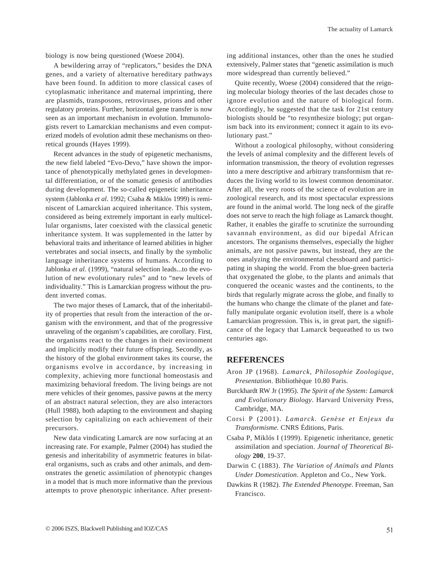biology is now being questioned (Woese 2004).

A bewildering array of "replicators," besides the DNA genes, and a variety of alternative hereditary pathways have been found. In addition to more classical cases of cytoplasmatic inheritance and maternal imprinting, there are plasmids, transposons, retroviruses, prions and other regulatory proteins. Further, horizontal gene transfer is now seen as an important mechanism in evolution. Immunologists revert to Lamarckian mechanisms and even computerized models of evolution admit these mechanisms on theoretical grounds (Hayes 1999).

Recent advances in the study of epigenetic mechanisms, the new field labeled "Evo-Devo," have shown the importance of phenotypically methylated genes in developmental differentiation, or of the somatic genesis of antibodies during development. The so-called epigenetic inheritance system (Jablonka *et al*. 1992; Csaba & Miklós 1999) is reminiscent of Lamarckian acquired inheritance. This system, considered as being extremely important in early multicellular organisms, later coexisted with the classical genetic inheritance system. It was supplemented in the latter by behavioral traits and inheritance of learned abilities in higher vertebrates and social insects, and finally by the symbolic language inheritance systems of humans. According to Jablonka *et al*. (1999), "natural selection leads...to the evolution of new evolutionary rules" and to "new levels of individuality." This is Lamarckian progress without the prudent inverted comas.

The two major theses of Lamarck, that of the inheritability of properties that result from the interaction of the organism with the environment, and that of the progressive unraveling of the organism's capabilities, are corollary. First, the organisms react to the changes in their environment and implicitly modify their future offspring. Secondly, as the history of the global environment takes its course, the organisms evolve in accordance, by increasing in complexity, achieving more functional homeostasis and maximizing behavioral freedom. The living beings are not mere vehicles of their genomes, passive pawns at the mercy of an abstract natural selection, they are also interactors (Hull 1988), both adapting to the environment and shaping selection by capitalizing on each achievement of their precursors.

New data vindicating Lamarck are now surfacing at an increasing rate. For example, Palmer (2004) has studied the genesis and inheritability of asymmetric features in bilateral organisms, such as crabs and other animals, and demonstrates the genetic assimilation of phenotypic changes in a model that is much more informative than the previous attempts to prove phenotypic inheritance. After presenting additional instances, other than the ones he studied extensively, Palmer states that "genetic assimilation is much more widespread than currently believed."

Quite recently, Woese (2004) considered that the reigning molecular biology theories of the last decades chose to ignore evolution and the nature of biological form. Accordingly, he suggested that the task for 21st century biologists should be "to resynthesize biology; put organism back into its environment; connect it again to its evolutionary past."

Without a zoological philosophy, without considering the levels of animal complexity and the different levels of information transmission, the theory of evolution regresses into a mere descriptive and arbitrary transformism that reduces the living world to its lowest common denominator. After all, the very roots of the science of evolution are in zoological research, and its most spectacular expressions are found in the animal world. The long neck of the giraffe does not serve to reach the high foliage as Lamarck thought. Rather, it enables the giraffe to scrutinize the surrounding savannah environment, as did our bipedal African ancestors. The organisms themselves, especially the higher animals, are not passive pawns, but instead, they are the ones analyzing the environmental chessboard and participating in shaping the world. From the blue-green bacteria that oxygenated the globe, to the plants and animals that conquered the oceanic wastes and the continents, to the birds that regularly migrate across the globe, and finally to the humans who change the climate of the planet and fatefully manipulate organic evolution itself, there is a whole Lamarckian progression. This is, in great part, the significance of the legacy that Lamarck bequeathed to us two centuries ago.

#### **REFERENCES**

- Aron JP (1968). *Lamarck, Philosophie Zoologique, Presentation*. Bibliothèque 10.80 Paris.
- Burckhardt RW Jr (1995). *The Spirit of the System: Lamarck and Evolutionary Biology*. Harvard University Press, Cambridge, MA.
- Corsi P (2001). *Lamarck. Genèse et Enjeux du Transformisme.* CNRS Éditions, Paris.
- Csaba P, Miklós I (1999). Epigenetic inheritance, genetic assimilation and speciation. *Journal of Theoretical Biology* **200**, 19-37.
- Darwin C (1883). *The Variation of Animals and Plants Under Domestication*. Appleton and Co., New York.
- Dawkins R (1982). *The Extended Phenotype*. Freeman, San Francisco.